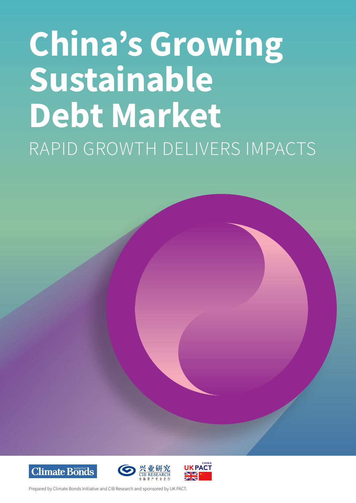# China's Growing Sustainable Debt Market RAPID GROWTH DELIVERS IMPACTS







Prepared by Climate Bonds Initiative and CIB Research and sponsored by UK PACT.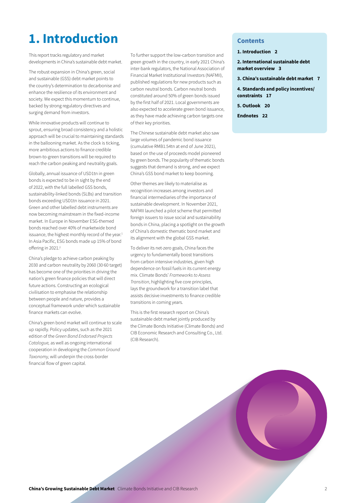# 1. Introduction Contents

This report tracks regulatory and market developments in China's sustainable debt market.

The robust expansion in China's green, social and sustainable (GSS) debt market points to the country's determination to decarbonise and enhance the resilience of its environment and society. We expect this momentum to continue, backed by strong regulatory directives and surging demand from investors.

While innovative products will continue to sprout, ensuring broad consistency and a holistic approach will be crucial to maintaining standards in the ballooning market. As the clock is ticking, more ambitious actions to finance credible brown-to-green transitions will be required to reach the carbon peaking and neutrality goals.

Globally, annual issuance of USD1tn in green bonds is expected to be in sight by the end of 2022, with the full labelled GSS bonds, sustainability-linked bonds (SLBs) and transition bonds exceeding USD1tn issuance in 2021. Green and other labelled debt instruments are now becoming mainstream in the fixed-income market. In Europe in November ESG-themed bonds reached over 40% of marketwide bond issuance, the highest monthly record of the year.<sup>1</sup> In Asia Pacific, ESG bonds made up 15% of bond offering in 2021.<sup>2</sup>

China's pledge to achieve carbon peaking by 2030 and carbon neutrality by 2060 (30·60 target) has become one of the priorities in driving the nation's green finance policies that will direct future actions. Constructing an ecological civilisation to emphasise the relationship between people and nature, provides a conceptual framework under which sustainable finance markets can evolve.

China's green bond market will continue to scale up rapidly. Policy updates, such as the 2021 edition of the *Green Bond Endorsed Projects Catalogue,* as well as ongoing international cooperation in developing the *Common Ground Taxonomy,* will underpin the cross-border financial flow of green capital.

To further support the low-carbon transition and green growth in the country, in early 2021 China's inter-bank regulators, the National Association of Financial Market Institutional Investors (NAFMII), published regulations for new products such as carbon neutral bonds. Carbon neutral bonds constituted around 50% of green bonds issued by the first half of 2021. Local governments are also expected to accelerate green bond issuance, as they have made achieving carbon targets one of their key priorities.

The Chinese sustainable debt market also saw large volumes of pandemic bond issuance (cumulative RMB1.54tn at end of June 2021), based on the use of proceeds model pioneered by green bonds. The popularity of thematic bonds suggests that demand is strong, and we expect China's GSS bond market to keep booming.

Other themes are likely to materialise as recognition increases among investors and financial intermediaries of the importance of sustainable development. In November 2021, NAFMII launched a pilot scheme that permitted foreign issuers to issue social and sustainability bonds in China, placing a spotlight on the growth of China's domestic thematic bond market and its alignment with the global GSS market.

To deliver its net-zero goals, China faces the urgency to fundamentally boost transitions from carbon intensive industries, given high dependence on fossil fuels in its current energy mix. Climate Bonds' *Frameworks to Assess Transition*, highlighting five core principles, lays the groundwork for a transition label that assists decisive investments to finance credible transitions in coming years.

This is the first research report on China's sustainable debt market jointly produced by the Climate Bonds Initiative (Climate Bonds) and CIB Economic Research and Consulting Co., Ltd. (CIB Research).

1. Introduction 2

2. International sustainable debt market overview 3

3. China's sustainable debt market 7

4. Standards and policy incentives/ constraints 17

5. Outlook 20

Endnotes 22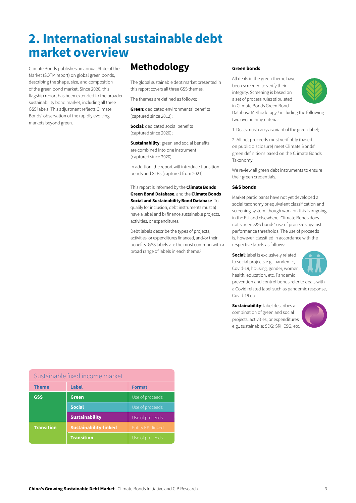# 2. International sustainable debt market overview

Climate Bonds publishes an annual State of the Market (SOTM report) on global green bonds, describing the shape, size, and composition of the green bond market. Since 2020, this flagship report has been extended to the broader sustainability bond market, including all three GSS labels. This adjustment reflects Climate Bonds' observation of the rapidly evolving markets beyond green.

# Methodology

The global sustainable debt market presented in this report covers all three GSS themes.

The themes are defined as follows:

**Green:** dedicated environmental benefits (captured since 2012);

Social: dedicated social benefits (captured since 2020);

**Sustainability: green and social benefits** are combined into one instrument (captured since 2020).

In addition, the report will introduce transition bonds and SLBs (captured from 2021).

This report is informed by the **Climate Bonds** Green Bond Database, and the Climate Bonds Social and Sustainability Bond Database. To qualify for inclusion, debt instruments must a) have a label and b) finance sustainable projects, activities, or expenditures.

Debt labels describe the types of projects, activities, or expenditures financed, and/or their benefits. GSS labels are the most common with a broad range of labels in each theme.<sup>3</sup>

#### Green bonds

All deals in the green theme have been screened to verify their integrity. Screening is based on a set of process rules stipulated in Climate Bonds Green Bond Database Methodology,<sup>4</sup> including the following



two overarching criteria:

1. Deals must carry a variant of the green label;

2. All net proceeds must verifiably (based on public disclosure) meet Climate Bonds' green definitions based on the Climate Bonds Taxonomy.

We review all green debt instruments to ensure their green credentials.

#### S&S bonds

Market participants have not yet developed a social taxonomy or equivalent classification and screening system, though work on this is ongoing in the EU and elsewhere. Climate Bonds does not screen S&S bonds' use of proceeds against performance thresholds. The use of proceeds is, however, classified in accordance with the respective labels as follows:

Social: label is exclusively related to social projects e.g., pandemic, Covid-19, housing, gender, women, health, education, etc. Pandemic



prevention and control bonds refer to deals with a Covid related label such as pandemic response, Covid-19 etc.

Sustainability: label describes a combination of green and social projects, activities, or expenditures e.g., sustainable; SDG; SRI; ESG, etc.



| Sustainable fixed income market |                              |                          |
|---------------------------------|------------------------------|--------------------------|
| <b>Theme</b>                    | <b>Label</b>                 | <b>Format</b>            |
| GSS                             | <b>Green</b>                 | Use of proceeds          |
|                                 | <b>Social</b>                | Use of proceeds          |
|                                 | <b>Sustainability</b>        | Use of proceeds          |
| <b>Transition</b>               | <b>Sustainability-linked</b> | <b>Entity KPI-linked</b> |
|                                 | <b>Transition</b>            | Use of proceeds          |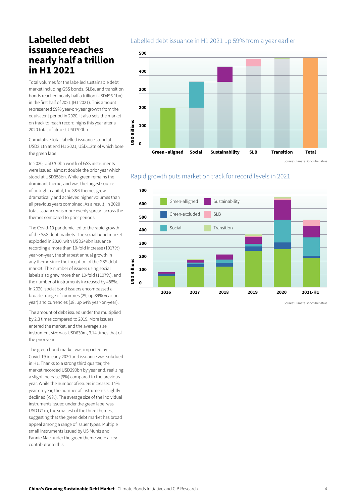## Labelled debt issuance reaches nearly half a trillion in H1 2021

Total volumes for the labelled sustainable debt market including GSS bonds, SLBs, and transition bonds reached nearly half a trillion (USD496.1bn) in the first half of 2021 (H1 2021). This amount represented 59% year-on-year growth from the equivalent period in 2020. It also sets the market on track to reach record highs this year after a 2020 total of almost USD700bn.

Cumulative total labelled issuance stood at USD2.1tn at end H1 2021, USD1.3tn of which bore the green label.

In 2020, USD700bn worth of GSS instruments were issued, almost double the prior year which stood at USD358bn. While green remains the dominant theme, and was the largest source of outright capital, the S&S themes grew dramatically and achieved higher volumes than all previous years combined. As a result, in 2020 total issuance was more evenly spread across the themes compared to prior periods.

The Covid-19 pandemic led to the rapid growth of the S&S debt markets. The social bond market exploded in 2020, with USD249bn issuance recording a more than 10-fold increase (1017%) year-on-year, the sharpest annual growth in any theme since the inception of the GSS debt market. The number of issuers using social labels also grew more than 10-fold (1107%), and the number of instruments increased by 488%. In 2020, social bond issuers encompassed a broader range of countries (29, up 89% year-onyear) and currencies (18, up 64% year-on-year).

The amount of debt issued under the multiplied by 2.3 times compared to 2019. More issuers entered the market, and the average size instrument size was USD630m, 3.14 times that of the prior year.

The green bond market was impacted by Covid-19 in early 2020 and issuance was subdued in H1. Thanks to a strong third quarter, the market recorded USD290bn by year end, realizing a slight increase (9%) compared to the previous year. While the number of issuers increased 14% year-on-year, the number of instruments slightly declined (-9%). The average size of the individual instruments issued under the green label was USD171m, the smallest of the three themes, suggesting that the green debt market has broad appeal among a range of issuer types. Multiple small instruments issued by US Munis and Fannie Mae under the green theme were a key contributor to this.

#### Labelled debt issuance in H1 2021 up 59% from a year earlier



Rapid growth puts market on track for record levels in 2021

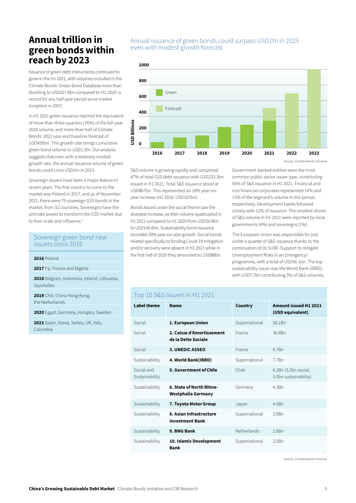## Annual trillion in green bonds within reach by 2023

Issuance of green debt instruments continued to grow in the H1 2021, with volumes included in the Climate Bonds' Green Bond Database more than doubling to USD227.8bn compared to H1 2020–a record for any half-year period since market inception in 2007.

In H1 2021 green issuance reached the equivalent of more than three-quarters (76%) of the full-year 2020 volume, and more than half of Climate Bonds' 2021 year-end baseline forecast of USD450bn. This growth rate brings cumulative green bond volume to USD1.3tn. Our analysis suggests that even with a relatively modest growth rate, the annual issuance volume of green bonds could cross USD1tn in 2023.

Sovereign issuers have been a major feature in recent years. The first country to come to the market was Poland in 2017, and as of November 2021, there were 79 sovereign GSS bonds in the market, from 32 countries. Sovereigns have the ultimate power to transform the GSS market due to their scale and influence.<sup>5</sup>

#### Sovereign green bond new issuers since 2016

2017 Fiji, France and Nigeria

2018 Belgium, Indonesia, Ireland, Lithuania, Seychelles

2019 Chili, China Hong Kong, the Netherlands

2020 Egypt, Germany, Hungary, Sweden

2021 Spain, Korea, Serbia, UK, Italy, Colombia

#### Annual issuance of green bonds could surpass USD1tn in 2023 even with modest growth forecast



S&S volume is growing rapidly and comprised 47% of total GSS debt issuance with USD233.3bn issued in H1 2021. Total S&S issuance stood at USD867bn. This represented an 18% year-onyear increase (H1 2020: USD197bn).

Bonds issued under the social theme saw the sharpest increase, as their volume quadrupled in H1 2021 compared to H1 2020 from USD36.8bn to USD146.6bn. Sustainability bond issuance recorded 20% year-on-year growth. Social bonds related specifically to funding Covid-19 mitigation and/or recovery were absent in H1 2021 while in the first half of 2020 they amounted to USD88bn. 2016 Poland

Government-backed entities were the most common public sector issuer type, constituting 56% of S&S issuance in H1 2021. Financial and non-financial corporates represented 14% and 13% of the segment's volume in this period, respectively. Development banks followed closely with 12% of issuance. The smallest shares of S&S volume in H1 2021 were reported by local governments (4%) and sovereigns (1%).

The European Union was responsible for just under a quarter of S&S issuance thanks to the continuation of its SURE (Support to mitigate Unemployment Risks in an Emergency) programme, with a total of USD56.1bn. The top sustainability issuer was the World Bank (IBRD), with USD7.7bn contributing 3% of S&S volumes.

#### Top 10 S&S issuers in H1 2021

| <b>Label theme</b>           | <b>Name</b>                                       | <b>Country</b>     | <b>Amount issued H1 2021</b><br>(USD equivalent) |
|------------------------------|---------------------------------------------------|--------------------|--------------------------------------------------|
| Social                       | 1. European Union                                 | Supernational      | 56.1Bn                                           |
| Social                       | 2. Caisse d'Amortissement<br>de la Dette Sociale  | France             | 36.8Bn                                           |
| Social                       | <b>3. UNEDIC ASSEO</b>                            | France             | 9.7 <sub>Bn</sub>                                |
| Sustainability               | 4. World Bank(IBRD)                               | Supernational      | 7.7 <sub>Bn</sub>                                |
| Social and<br>Sustainability | 5. Government of Chile                            | Chile              | 6.2Bn (3.2bn social,<br>3.0bn sustainability)    |
| Sustainability               | 6. State of North Rhine-<br>Westphalia Germany    | Germany            | 4.3Bn                                            |
| Sustainability               | 7. Toyota Motor Group                             | Japan              | 4.0Bn                                            |
| Sustainability               | 8. Asian Infrastructure<br><b>Investment Bank</b> | Supernational      | 3.9Bn                                            |
| Sustainability               | 9. BNG Bank                                       | <b>Netherlands</b> | 26Bn                                             |
| Sustainability               | 10. Islamic Development<br>Bank                   | Supernational      | 2.5Bn                                            |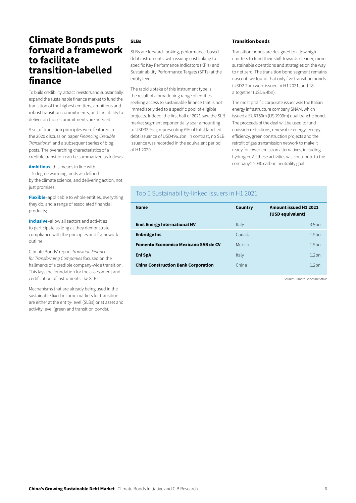### Climate Bonds puts forward a framework to facilitate transition-labelled finance

To build credibility, attract investors and substantially expand the sustainable finance market to fund the transition of the highest emitters, ambitious and robust transition commitments, and the ability to deliver on those commitments are needed.

A set of transition principles were featured in the 2020 discussion paper *Financing Credible Transitions6* , and a subsequent series of blog posts. The overarching characteristics of a credible transition can be summarized as follows:

Ambitious–this means in line with 1.5 degree warming limits as defined by the climate science, and delivering action, not just promises;

Flexible–applicable to whole entities, everything they do, and a range of associated financial products;

Inclusive-allow all sectors and activities to participate as long as they demonstrate compliance with the principles and framework outline.

Climate Bonds' report *Transition Finance for Transforming Companies* focused on the hallmarks of a credible company-wide transition. This lays the foundation for the assessment and certification of instruments like SLBs.

Mechanisms that are already being used in the sustainable fixed income markets for transition are either at the entity-level (SLBs) or at asset and activity level (green and transition bonds).

#### SLBs

SLBs are forward-looking, performance-based debt instruments, with issuing cost linking to specific Key Performance Indicators (KPIs) and Sustainability Performance Targets (SPTs) at the entity level.

The rapid uptake of this instrument type is the result of a broadening range of entities seeking access to sustainable finance that is not immediately tied to a specific pool of eligible projects. Indeed, the first half of 2021 saw the SLB market segment exponentially soar amounting to USD32.9bn, representing 6% of total labelled debt issuance of USD496.1bn. In contrast, no SLB issuance was recorded in the equivalent period of H1 2020.

#### Transition bonds

Transition bonds are designed to allow high emitters to fund their shift towards cleaner, more sustainable operations and strategies on the way to net zero. The transition bond segment remains nascent: we found that only five transition bonds (USD2.2bn) were issued in H1 2021, and 18 altogether (USD6.4bn).

The most prolific corporate issuer was the Italian energy infrastructure company SNAM, which issued a EUR750m (USD909m) dual tranche bond. The proceeds of the deal will be used to fund emission reductions, renewable energy, energy efficiency, green construction projects and the retrofit of gas transmission network to make it ready for lower-emission alternatives, including hydrogen. All these activities will contribute to the company's 2040 carbon neutrality goal.

### Top 5 Sustainability-linked issuers in H1 2021

| <b>Name</b>                                 | Country | <b>Amount issued H1 2021</b><br>(USD equivalent) |                   |
|---------------------------------------------|---------|--------------------------------------------------|-------------------|
| <b>Enel Energy International NV</b>         | Italy   |                                                  | 3.9 <sub>bn</sub> |
| <b>Enbridge Inc</b>                         | Canada  |                                                  | 1.5 <sub>bn</sub> |
| <b>Fomento Economico Mexicano SAB de CV</b> | Mexico  |                                                  | 1.5 <sub>bn</sub> |
| Eni SpA                                     | Italy   |                                                  | 12hn              |
| <b>China Construction Bank Corporation</b>  | China   |                                                  | 12hn              |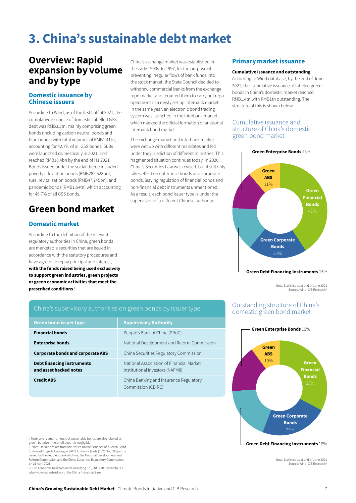# 3. China's sustainable debt market

## Overview: Rapid expansion by volume and by type

#### Domestic issuance by Chinese issuers

According to Wind, as of the first half of 2021, the cumulative issuance of domestic labelled GSS debt was RMB3.3tn, mainly comprising green bonds (including carbon neutral bonds and blue bonds) with total volumes of RMB1.41tn, accounting for 42.7% of all GSS bonds; SLBs were launched domestically in 2021, and reached RMB18.4bn by the end of H1 2021. Bonds issued under the social theme included poverty alleviation bonds (RMB282.628bn); rural revitalisation bonds (RMB47.745bn); and pandemic bonds (RMB1.54tn) which accounting for 46.7% of all GSS bonds.

# Green bond market

#### Domestic market

According to the definition of the relevant regulatory authorities in China, green bonds are marketable securities that are issued in accordance with the statutory procedures and have agreed to repay principal and interest, with the funds raised being used exclusively to support green industries, green projects or green economic activities that meet the prescribed conditions. ii

China's exchange market was established in the early 1990s. In 1997, for the purpose of preventing irregular flows of bank funds into the stock market, the State Council decided to withdraw commercial banks from the exchange repo market and required them to carry out repo operations in a newly set-up interbank market. In the same year, an electronic bond trading system was launched in the interbank market, which marked the official formation of anational interbank bond market.

The exchange market and interbank market were wet up with different mandates and fell under the jurisdiction of different ministries. This fragmented situation continues today. In 2020, China's Securities Law was revised, but it still only takes effect on enterprise bonds and corporate bonds, leaving regulation of financial bonds and non-financial debt instruments unmentioned. As a result, each bond issuer type is under the supervision of a different Chinese authority.

#### Primary market issuance

#### Cumulative issuance and outstanding:

According to Wind database, by the end of June 2021, the cumulative issuance of labeled green bonds in China's domestic market reached RMB1.4tn with RMB1tn outstanding. The structure of this is shown below.

#### Cumulative issuance and structure of China's domestic green bond market



Green Debt Financing Instruments 15%

Note: Statistics as at end of June 2021 Source: Wind, CIB Researchii

#### China's supervisory authorities on green bonds by issuer type

| <b>Green bond issuer type</b>                               | <b>Supervisory Authority</b>                                                 |
|-------------------------------------------------------------|------------------------------------------------------------------------------|
| <b>Financial bonds</b>                                      | People's Bank of China (PBoC)                                                |
| <b>Enterprise bonds</b>                                     | National Development and Reform Commission                                   |
| <b>Corporate bonds and corporate ABS</b>                    | China Securities Regulatory Commission                                       |
| <b>Debt financing instruments</b><br>and asset backed notes | National Association of Financial Market<br>Institutional Investors (NAFMII) |
| <b>Credit ABS</b>                                           | China Banking and Insurance Regulatory<br>Commission (CBIRC)                 |

#### Outstanding structure of China's domestic green bond market



Green Debt Financing Instruments 18%

Note: Statistics as at end of June 2021 Source: Wind, CIB Researchij

i. Note: a very small amount of sustainable bonds are also labeled as green, but given the small size, it is negligible.

ii. Note: Definitions are from the Notice on the Issuance of < Green Bond Endorsed Projects Catalogue (2021 Edition)> (Yinfa [2021] No. 96) jointly issued by the People's Bank of China, the National Development and Reform Commission and the China Securities Regulatory Commission on 21 April 2021.

iii. CIB Economic Research and Consulting Co., Ltd. (CIB Research) is a wholly-owned subsidiary of the China Industrial Bank.

China's Growing Sustainable Debt Market Climate Bonds Initiative and CIB Research 7 and 7 and 7 and 7 and 7 and 7 and 7 and 7 and 7 and 7 and 7 and 7 and 7 and 7 and 7 and 7 and 7 and 7 and 7 and 7 and 7 and 7 and 7 and 7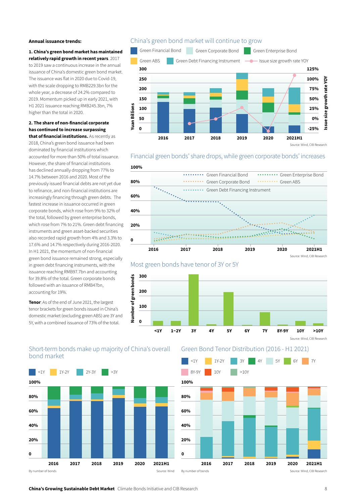#### Annual issuance trends:

1. China's green bond market has maintained relatively rapid growth in recent years. 2017

to 2019 saw a continuous increase in the annual issuance of China's domestic green bond market. The issuance was flat in 2020 due to Covid-19, with the scale dropping to RMB229.3bn for the whole year, a decrease of 24.2% compared to 2019. Momentum picked up in early 2021, with H1 2021 issuance reaching RMB245.3bn, 7% higher than the total in 2020.

#### 2. The share of non-financial corporate has continued to increase surpassing that of financial institutions. As recently as

2018, China's green bond issuance had been dominated by financial institutions which accounted for more than 50% of total issuance. However, the share of financial institutions has declined annually dropping from 77% to 14.7% between 2016 and 2020. Most of the previously issued financial debts are not yet due to refinance, and non-financial institutions are increasingly financing through green debts. The fastest increase in issuance occurred in green corporate bonds, which rose from 9% to 32% of the total, followed by green enterprise bonds, which rose from 7% to 21%. Green debt financing instruments and green asset-backed securities also recorded rapid growth from 4% and 3.3% to 17.6% and 14.7% respectively during 2016-2020. In H1 2021, the momentum of non-financial green bond issuance remained strong, especially in green debt financing instruments, with the issuance reaching RMB97.7bn and accounting for 39.8% of the total. Green corporate bonds followed with an issuance of RMB47bn, accounting for 19%.

Tenor: As of the end of June 2021, the largest tenor brackets for green bonds issued in China's domestic market (excluding green ABS) are 3Y and 5Y, with a combined issuance of 73% of the total.

#### China's green bond market will continue to grow



Financial green bonds' share drops, while green corporate bonds' increases







#### Short-term bonds make up majority of China's overall bond market



Green Bond Tenor Distribution (2016 - H1 2021)



**China's Growing Sustainable Debt Market** Climate Bonds Initiative and CIB Research 8 and 100 and 100 and 100 and 100 and 100 and 100 and 100 and 100 and 100 and 100 and 100 and 100 and 100 and 100 and 100 and 100 and 100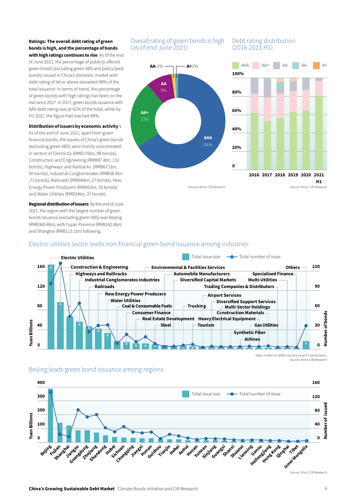#### Ratings: The overall debt rating of green bonds is high, and the percentage of bonds

with high ratings continues to rise. As of the end of June 2021, the percentage of publicly offered green bonds (excluding green ABS and policy bank bonds) issued in China's domestic market with debt rating of AA or above exceeded 98% of the total issuance. In terms of trend, the percentage of green bonds with high ratings has been on the rise since 2017. In 2017, green bonds issuance with AAA debt rating was at 62% of the total, while by H1 2021, the figure had reached 84%.

#### Distribution of issuers by economic activity $\vec{\ }$ :

As of the end of June 2021, apart from green financial bonds, the issuers of China's green bonds (excluding green ABS) were mainly concentrated in sectors of Electricity (RMB176bn, 98 bonds), Construction and Engineering (RMB97.4bn, 132 bonds), Highways and Railtracks (RMB67.1bn, 50 bonds), Industrial Conglomerates (RMB58.4bn ,71 bonds), Railroads (RMB46bn, 27 bonds), New Energy Power Producers (RMB42bn, 35 bonds) and Water Utilities (RMB34bn, 37 bonds).

Regional distribution of issuers: By the end of June 2021, the region with the largest number of green bonds issuance (excluding green ABS) was Beijing (RMB369.4bn), with Fujian Province (RMB142.6bn) and Shanghai (RMB113.1bn) following.

#### Overall rating of green bonds is high Debt rating distribution (as of end June 2021)



# $(2016 - 2021H1)$



#### Electric utilities sector leads non-financial green bond issuance among industries



Note: It refers to WIND Industry Level 4 Classification. Source: Wind, CIB Research

# 400

Beijing leads green bond issuance among regions



Source: Wind, CIB Research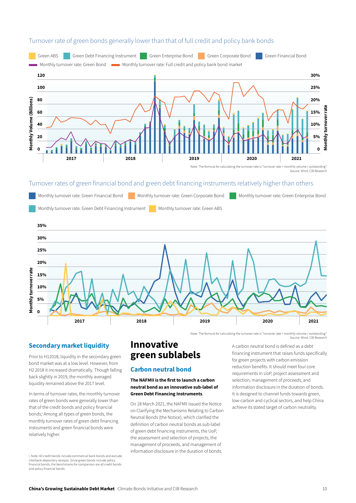

#### Turnover rate of green bonds generally lower than that of full credit and policy bank bonds

#### Turnover rates of green financial bond and green debt financing instruments relatively higher than others



#### Secondary market liquidity

Prior to H12018, liquidity in the secondary green bond market was at a low level. However, from H2 2018 it increased dramatically. Though falling back slightly in 2019, the monthly averaged liquidity remained above the 2017 level.

In terms of turnover rates, the monthly turnover rates of green bonds were generally lower than that of the credit bonds and policy financial bonds;i Among all types of green bonds, the monthly turnover rates of green debt financing instruments and green financial bonds were relatively higher.

i. Note: All credit bonds include commercial bank bonds and exclude interbank depository receipts. Since green bonds include policy financial bonds, the benchmarks for comparison are all credit bonds and policy financial bonds.

### Innovative green sublabels

#### Carbon neutral bond

#### The NAFMII is the first to launch a carbon neutral bond as an innovative sub-label of Green Debt Financing Instruments.

On 18 March 2021, the NAFMII issued the Notice on Clarifying the Mechanisms Relating to Carbon Neutral Bonds (the Notice), which clarified the definition of carbon neutral bonds as sub-label of green debt financing instruments, the UoP, the assessment and selection of projects, the management of proceeds, and management of information disclosure in the duration of bonds.

A carbon neutral bond is defined as a debt financing instrument that raises funds specifically for green projects with carbon emission reduction benefits. It should meet four core requirements in UoP, project assessment and selection, management of proceeds, and information disclosure in the duration of bonds. It is designed to channel funds towards green, low-carbon and cyclical sectors, and help China achieve its stated target of carbon neutrality.

Source: Wind, CIB Research

Source: Wind, CIB Resea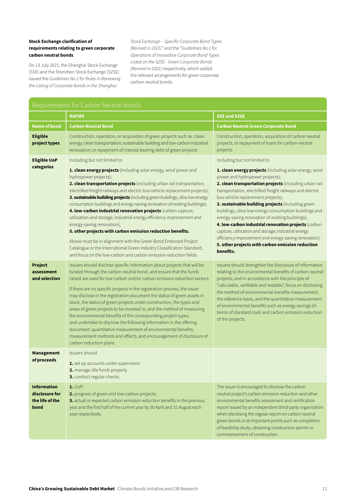#### Stock Exchange clarification of requirements relating to green corporate carbon neutral bonds.

On 13 July 2021, the Shanghai Stock Exchange (SSE) and the Shenzhen Stock Exchange (SZSE) issued the *Guidelines No.2 for Rules in Reviewing the Listing of Corporate Bonds in the Shanghai* 

*Stock Exchange – Specific Corporate Bond Types (Revised in 2021)"* and the *"Guidelines No.1 for Operations of Innovative Corporate Bond Types Listed on the SZSE - Green Corporate Bonds (Revised in 2021)* respectively, which added the relevant arrangements for green corporate carbon neutral bonds.

| Requirements for Carbon Neutral bonds                           |                                                                                                                                                                                                                                                                                                                                                                                                                                                                                                                                                                                                                                                                                                                                                                                                                                                                                                            |                                                                                                                                                                                                                                                                                                                                                                                                                                                                                                                                                                                                                                                                                                   |  |
|-----------------------------------------------------------------|------------------------------------------------------------------------------------------------------------------------------------------------------------------------------------------------------------------------------------------------------------------------------------------------------------------------------------------------------------------------------------------------------------------------------------------------------------------------------------------------------------------------------------------------------------------------------------------------------------------------------------------------------------------------------------------------------------------------------------------------------------------------------------------------------------------------------------------------------------------------------------------------------------|---------------------------------------------------------------------------------------------------------------------------------------------------------------------------------------------------------------------------------------------------------------------------------------------------------------------------------------------------------------------------------------------------------------------------------------------------------------------------------------------------------------------------------------------------------------------------------------------------------------------------------------------------------------------------------------------------|--|
|                                                                 | <b>NAFMII</b>                                                                                                                                                                                                                                                                                                                                                                                                                                                                                                                                                                                                                                                                                                                                                                                                                                                                                              | <b>SSE and SZSE</b>                                                                                                                                                                                                                                                                                                                                                                                                                                                                                                                                                                                                                                                                               |  |
| <b>Name of bond</b>                                             | <b>Carbon Neutral Bond</b>                                                                                                                                                                                                                                                                                                                                                                                                                                                                                                                                                                                                                                                                                                                                                                                                                                                                                 | <b>Carbon Neutral Green Corporate Bond</b>                                                                                                                                                                                                                                                                                                                                                                                                                                                                                                                                                                                                                                                        |  |
| <b>Eligible</b><br>project types                                | Construction, operation, or acquisition of green projects such as: clean<br>energy; clean transportation; sustainable building and low-carbon industrial<br>renovation; or repayment of interest-bearing debt of green projects                                                                                                                                                                                                                                                                                                                                                                                                                                                                                                                                                                                                                                                                            | Construction, operation, acquisition of carbon neutral<br>projects, or repayment of loans for carbon-neutral<br>projects                                                                                                                                                                                                                                                                                                                                                                                                                                                                                                                                                                          |  |
| <b>Eligible UoP</b><br>categories                               | Including but not limited to<br>1. clean energy projects (including solar energy, wind power and<br>hydropower projects);<br>2. clean transportation projects (including urban rail transportation,<br>electrified freight railways and electric bus vehicle replacement projects);<br>3. sustainable building projects (including green buildings, ultra-low energy<br>consumption buildings and energy-saving renovation of existing buildings);<br>4. low-carbon industrial renovation projects (carbon capture,<br>utilisation and storage; industrial energy efficiency improvement and<br>energy-saving renovation);<br>5. other projects with carbon emission reduction benefits.<br>Above must be in alignment with the Green Bond Endorsed Project<br>Catalogue or the International Green Industry Classification Standard,<br>and focus on the low-carbon and carbon emission reduction fields. | Including but not limited to<br>1. clean energy projects (including solar energy, wind<br>power and hydropower projects);<br>2. clean transportation projects (including urban rail<br>transportation, electrified freight railways and electric<br>bus vehicle replacement projects);<br>3. sustainable building projects (including green<br>buildings, ultra-low energy consumption buildings and<br>energy-saving renovation of existing buildings);<br>4. low-carbon industrial renovation projects (carbon<br>capture, utilisation and storage; industrial energy<br>efficiency improvement and energy-saving renovation);<br>5. other projects with carbon emission reduction<br>benefits. |  |
| <b>Project</b><br>assessment<br>and selection                   | Issuers should disclose specific information about projects that will be<br>funded through the carbon neutral bond, and ensure that the funds<br>raised are used for low carbon and/or carbon emission reduction sectors.<br>If there are no specific projects in the registration process, the issuer<br>may disclose in the registration document the status of green assets in<br>stock, the status of green projects under construction, the types and<br>areas of green projects to be invested in, and the method of measuring<br>the environmental benefits of the corresponding project types,<br>and undertake to disclose the following information in the offering<br>document: quantitative measurement of environmental benefits,<br>measurement methods and effects, and encouragement of disclosure of<br>carbon reduction plans.                                                           | Issuers should strengthen the disclosure of information<br>relating to the environmental benefits of carbon neutral<br>projects, and in accordance with the principle of<br>"calculable, verifiable and testable", focus on disclosing<br>the method of environmental benefits measurement,<br>the reference basis, and the quantitative measurement<br>of environmental benefits such as energy savings (in<br>terms of standard coal) and carbon emission reduction<br>of the projects.                                                                                                                                                                                                         |  |
| <b>Management</b><br>of proceeds                                | Issuers should<br>1. set up accounts under supervision<br>2. manage idle funds properly<br>3. conduct regular checks.                                                                                                                                                                                                                                                                                                                                                                                                                                                                                                                                                                                                                                                                                                                                                                                      |                                                                                                                                                                                                                                                                                                                                                                                                                                                                                                                                                                                                                                                                                                   |  |
| <b>Information</b><br>disclosure for<br>the life of the<br>bond | $1.$ UoP;<br>2. progress of green and low-carbon projects;<br>3. actual or expected carbon emission reduction benefits in the previous<br>year and the first half of the current year by 30 April and 31 August each<br>year respectively.                                                                                                                                                                                                                                                                                                                                                                                                                                                                                                                                                                                                                                                                 | The issuer is encouraged to disclose the carbon<br>neutral project's carbon emission reduction and other<br>environmental benefits assessment and certification<br>report issued by an independent third-party organisation<br>when disclosing the regular report on carbon neutral<br>green bonds or at important points such as completion<br>of feasibility study, obtaining construction permit or<br>commencement of construction.                                                                                                                                                                                                                                                           |  |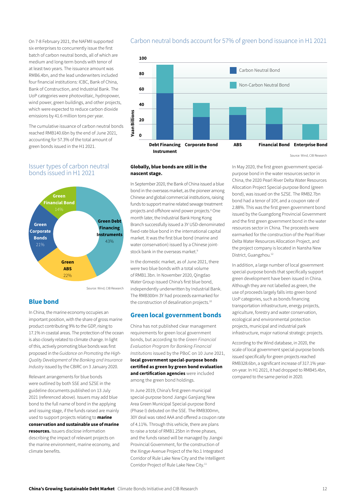On 7-8 February 2021, the NAFMII supported six enterprises to concurrently issue the first batch of carbon neutral bonds, all of which are medium and long-term bonds with tenor of at least two years. The issuance amount was RMB6.4bn, and the lead underwriters included four financial institutions: ICBC, Bank of China, Bank of Construction, and Industrial Bank. The UoP categories were photovoltaic, hydropower, wind power, green buildings, and other projects, which were expected to reduce carbon dioxide emissions by 41.6 million tons per year.

The cumulative issuance of carbon neutral bonds reached RMB140.6bn by the end of June 2021, accounting for 57.3% of the total amount of green bonds issued in the H1 2021.

#### Issuer types of carbon neutral bonds issued in H1 2021



Source: Wind, CIB Research

#### Blue bond

In China, the marine economy occupies an important position, with the share of gross marine product contributing 9% to the GDP, rising to 17.1% in coastal areas. The protection of the ocean is also closely related to climate change. In light of this, actively promoting blue bonds was first proposed in the *Guidance on Promoting the High-Quality Development of the Banking and Insurance Industry* issued by the CBIRC on 3 January 2020.

Relevant arrangements for blue bonds were outlined by both SSE and SZSE in the guideline documents published on 13 July 2021 (referenced above). Issuers may add blue bond to the full name of bond in the applying and issuing stage, if the funds raised are mainly used to support projects relating to **marine** conservation and sustainable use of marine resources. Issuers disclose information describing the impact of relevant projects on the marine environment, marine economy, and climate benefits.

#### Carbon neutral bonds account for 57% of green bond issuance in H1 2021



Source: Wind, CIB Research

#### Globally, blue bonds are still in the nascent stage.

In September 2020, the Bank of China issued a blue bond in the overseas market, as the pioneer among Chinese and global commercial institutions, raising funds to support marine related sewage treatment projects and offshore wind power projects.<sup>8</sup> One month later, the Industrial Bank Hong Kong Branch successfully issued a 3Y USD-denominated fixed-rate blue bond in the international capital market. It was the first blue bond (marine and water conservation) issued by a Chinese jointstock bank in the overseas market.<sup>9</sup>

In the domestic market, as of June 2021, there were two blue bonds with a total volume of RMB1.3bn. In November 2020, Qingdao Water Group issued China's first blue bond, independently underwritten by Industrial Bank. The RMB300m 3Y had proceeds earmarked for the construction of desalination projects.<sup>10</sup>

#### Green local government bonds

China has not published clear management requirements for green local government bonds, but according to the *Green Financial Evaluation Program for Banking Financial Institutions* issued by the PBoC on 10 June 2021, local government special-purpose bonds certified as green by green bond evaluation and certification agencies were included among the green bond holdings.

In June 2019, China's first green municipal special-purpose bond Jiangxi Ganjiang New Area Green Municipal Special-purpose Bond (Phase I) debuted on the SSE. The RMB300mn, 30Y deal was rated AAA and offered a coupon rate of 4.11%. Through this vehicle, there are plans to raise a total of RMB1.25bn in three phases, and the funds raised will be managed by Jiangxi Provincial Government, for the construction of the Xingye Avenue Project of the No.1 Integrated Corridor of Rule Lake New City and the Intelligent Corridor Project of Rule Lake New City.<sup>11</sup>

In May 2020, the first green government specialpurpose bond in the water resources sector in China, the 2020 Pearl River Delta Water Resources Allocation Project Special-purpose Bond (green bond), was issued on the SZSE. The RMB2.7bn bond had a tenor of 10Y, and a coupon rate of 2.88%. This was the first green government bond issued by the Guangdong Provincial Government and the first green government bond in the water resources sector in China. The proceeds were earmarked for the construction of the Pearl River Delta Water Resources Allocation Project, and the project company is located in Nansha New District, Guangzhou.12

In addition, a large number of local government special-purpose bonds that specifically support green development have been issued in China. Although they are not labelled as green, the use of proceeds largely falls into green bond UoP categories, such as bonds financing transportation infrastructure, energy projects, agriculture, forestry and water conservation, ecological and environmental protection projects, municipal and industrial park infrastructure, major national strategic projects.

According to the Wind database, in 2020, the scale of local government special-purpose bonds issued specifically for green projects reached RMB328.6bn, a significant increase of 317.1% yearon-year. In H1 2021, it had dropped to RMB45.4bn, compared to the same period in 2020.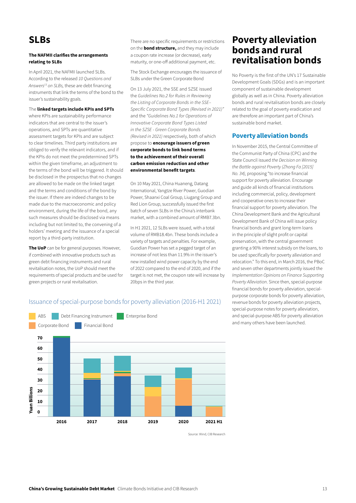# SLBs

#### The NAFMII clarifies the arrangements relating to SLBs

In April 2021, the NAFMII launched SLBs. According to the released *10 Questions and Answers13 on SLBs,* these are debt financing instruments that link the terms of the bond to the issuer's sustainability goals.

#### The linked targets include KPIs and SPTs

where KPIs are sustainability performance indicators that are central to the issuer's operations, and SPTs are quantitative assessment targets for KPIs and are subject to clear timelines. Third party institutions are obliged to verify the relevant indicators, and if the KPIs do not meet the predetermined SPTs within the given timeframe, an adjustment to the terms of the bond will be triggered. It should be disclosed in the prospectus that no changes are allowed to be made on the linked target and the terms and conditions of the bond by the issuer. If there are indeed changes to be made due to the macroeconomic and policy environment, during the life of the bond, any such measures should be disclosed via means including but not limited to, the convening of a holders' meeting and the issuance of a special report by a third-party institution.

The UoP can be for general purposes. However, if combined with innovative products such as green debt financing instruments and rural revitalisation notes, the UoP should meet the requirements of special products and be used for green projects or rural revitalisation.

There are no specific requirements or restrictions on the **bond structure**, and they may include a coupon rate increase (or decrease), early maturity, or one-off additional payment, etc.

The Stock Exchange encourages the issuance of SLBs under the Green Corporate Bond

On 13 July 2021, the SSE and SZSE issued the *Guidelines No.2 for Rules in Reviewing the Listing of Corporate Bonds in the SSE– Specific Corporate Bond Types (Revised in 2021)"* and the *"Guidelines No.1 for Operations of Innovative Corporate Bond Types Listed in the SZSE - Green Corporate Bonds (Revised in 2021)* respectively, both of which propose to encourage issuers of green corporate bonds to link bond terms to the achievement of their overall carbon emission reduction and other environmental benefit targets.

On 10 May 2021, China Huaneng, Datang International, Yangtze River Power, Guodian Power, Shaanxi Coal Group, Liugang Group and Red Lion Group, successfully issued the first batch of seven SLBs in the China's interbank market, with a combined amount of RMB7.3bn.

In H1 2021, 12 SLBs were issued, with a total volume of RMB18.4bn. These bonds include a variety of targets and penalties. For example, Guodian Power has set a pegged target of an increase of not less than 11.9% in the issuer's new installed wind power capacity by the end of 2022 compared to the end of 2020, and if the target is not met, the coupon rate will increase by 20bps in the third year.

### Poverty alleviation bonds and rural revitalisation bonds

No Poverty is the first of the UN's 17 Sustainable Development Goals (SDGs) and is an important component of sustainable development globally as well as in China. Poverty alleviation bonds and rural revitalisation bonds are closely related to the goal of poverty eradication and are therefore an important part of China's sustainable bond market.

#### Poverty alleviation bonds

In November 2015, the Central Committee of the Communist Party of China (CPC) and the State Council issued *the Decision on Winning the Battle against Poverty (Zhong Fa [2015] No. 34),* proposing "to increase financial support for poverty alleviation. Encourage and guide all kinds of financial institutions including commercial, policy, development and cooperative ones to increase their financial support for poverty alleviation. The China Development Bank and the Agricultural Development Bank of China will issue policy financial bonds and grant long-term loans in the principle of slight profit or capital preservation, with the central government granting a 90% interest subsidy on the loans, to be used specifically for poverty alleviation and relocation." To this end, in March 2016, the PBoC and seven other departments jointly issued the *Implementation Opinions on Finance Supporting Poverty Alleviation*. Since then, special-purpose financial bonds for poverty alleviation, specialpurpose corporate bonds for poverty alleviation, revenue bonds for poverty alleviation projects, special-purpose notes for poverty alleviation, and special-purpose ABS for poverty alleviation and many others have been launched.



#### Issuance of special-purpose bonds for poverty alleviation (2016-H1 2021)

Source: Wind, CIB Research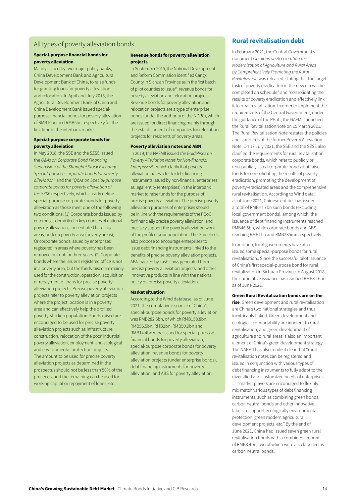#### All types of poverty alleviation bonds

#### Special-purpose financial bonds for poverty alleviation

Mainly issued by two major policy banks, China Development Bank and Agricultural Development Bank of China, to raise funds for granting loans for poverty alleviation and relocation. In April and July 2016, the Agricultural Development Bank of China and China Development Bank issued specialpurpose financial bonds for poverty alleviation of RMB10bn and RMB5bn respectively for the first time in the interbank market.

#### Special-purpose corporate bonds for poverty alleviation

In May 2018, the SSE and the SZSE issued the *Q&As on Corporate Bond Financing Supervision of the Shanghai Stock Exchange – Special-purpose corporate bonds for poverty alleviation*" and the *"Q&As on Special-purpose corporate bonds for poverty alleviation of the SZSE* respectively, which clearly define special-purpose corporate bonds for poverty alleviation as those meet one of the following two conditions: (1) Corporate bonds issued by enterprises domiciled in key counties of national poverty alleviation, concentrated hardship areas, or deep poverty area (poverty areas); Or corporate bonds issued by enterprises registered in areas where poverty has been removed but not for three years. (2) Corporate bonds where the issuer's registered office is not in a poverty area, but the funds raised are mainly used for the construction, operation, acquisition or repayment of loans for precise poverty alleviation projects. Precise poverty alleviation projects refer to poverty alleviation projects where the project location is in a poverty area and can effectively help the profiled poverty-stricken population. Funds raised are encouraged to be used for precise poverty alleviation projects such as infrastructure construction, relocation of the poor, industrial poverty alleviation, employment, and ecological and environmental protection projects. The amount to be used for precise poverty alleviation projects as determined in the prospectus should not be less than 50% of the proceeds, and the remaining can be used for working capital or repayment of loans, etc.

#### Revenue bonds for poverty alleviation projects

In September 2015, the National Development and Reform Commission identified Cangxi County in Sichuan Province as in the first batch of pilot counties to issue<sup>15</sup> revenue bonds for poverty alleviation and relocation projects. Revenue bonds for poverty alleviation and relocation projects are a type of enterprise bonds (under the authority of the NDRC), which are issued for direct financing mainly through the establishment of companies for relocation projects for residents of poverty areas.

#### Poverty alleviation notes and ABN

In 2019, the NAFMII issued *the Guidelines on Poverty Alleviation Notes for Non-financial Enterprises16* , which clarify that poverty alleviation notes refer to debt financing instruments issued by non-financial enterprises as legal entity (enterprises) in the interbank market to raise funds for the purpose of precise poverty alleviation. The precise poverty alleviation purposes of enterprises should be in line with the requirements of the PBoC for financially precise poverty alleviation, and precisely support the poverty alleviation work of the profiled poor population. The Guidelines also propose to encourage enterprises to issue debt financing instruments linked to the benefits of precise poverty alleviation projects, ABN backed by cash flows generated from precise poverty alleviation projects, and other innovative products in line with the national policy on precise poverty alleviation.

#### Market situation

According to the Wind database, as of June 2021, the cumulative issuance of China's special-purpose bonds for poverty alleviation was RMB282.6bn, of which RMB158.8bn RMB56.5bn, RMB2bn, RMB50.9bn and RMB14.4bn were issued for special-purpose financial bonds for poverty alleviation, special-purpose corporate bonds for poverty alleviation, revenue bonds for poverty alleviation projects (under enterprise bonds), debt financing instruments for poverty alleviation, and ABS for poverty alleviation.

#### Rural revitalisation debt

In February 2021, the Central Government's document *Opinions on Accelerating the Modernization of Agriculture and Rural Areas by Comprehensively Promoting the Rural Revitalization* was released, stating that the target task of poverty eradication in the new era will be completed on schedule" and "consolidating the results of poverty eradication and effectively link it to rural revitalization. In order to implement the requirements of the Central Government, under the guidance of the PBoC, the NAFMII launched the Rural RevitalisationNote on 15 March 2021. The Rural Revitalisation Note restates the policies and standards of the former Poverty Alleviation Note. On 13 July 2021, the SSE and the SZSE also clarified the requirements for rural revitalisation corporate bonds, which refer to publicly or non-publicly listed corporate bonds that raise funds for consolidating the results of poverty eradication, promoting the development of poverty-eradicated areas and the comprehensive rural revitalisation. According to Wind data, as of June 2021, Chinese entities has issued a total of RMB47.7bn such bonds (excluding local government bonds), among which, the issuance of debt financing instruments reached RMB46.5bn, while corporate bonds and ABS reaching RMB1bn and RMB235mn respectively.

In addition, local governments have also issued some special-purpose bonds for rural revitalisation.. Since the successful pilot issuance of China's first special-purpose bond for rural revitalization in Sichuan Province in August 2018, the cumulative issuance has reached RMB31.6bn as of June 2021.

#### Green Rural Revitalization bonds are on the

rise. Green development and rural revitalisation are China's two national strategies and thus inextricably linked. Green development and ecological comfortability are inherent to rural revitalisation, and green development of agriculture and rural areas is also an important element of China's green development strategy. The NAFMII has also made it clear that "rural revitalisation notes can be registered and issued in conjunction with various types of debt financing instruments to fully adapt to the diversified and customized needs of enterprises. ...... market players are encouraged to flexibly mix match various types of debt financing instruments, such as combining green bonds, carbon neutral bonds and other innovative labels to support ecologically environmental protection, green modern agricultural development projects, etc." By the end of June 2021, China had issued seven green rural revitalisation bonds with a combined amount of RMB3.4bn, two of which were also labelled as carbon neutral bonds.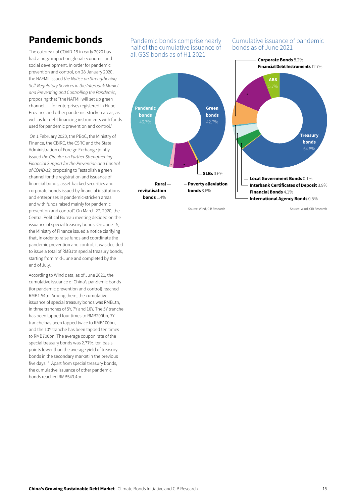# Pandemic bonds

The outbreak of COVID-19 in early 2020 has had a huge impact on global economic and social development. In order for pandemic prevention and control, on 28 January 2020, the NAFMII issued *the Notice on Strengthening Self-Regulatory Services in the Interbank Market and Preventing and Controlling the Pandemic*, proposing that "the NAFMII will set up green channel...... for enterprises registered in Hubei Province and other pandemic-stricken areas, as well as for debt financing instruments with funds used for pandemic prevention and control."

 On 1 February 2020, the PBoC, the Ministry of Finance, the CBIRC, the CSRC and the State Administration of Foreign Exchange jointly issued *the Circular on Further Strengthening Financial Support for the Prevention and Control of COVID-19,* proposing to "establish a green channel for the registration and issuance of financial bonds, asset-backed securities and corporate bonds issued by financial institutions and enterprises in pandemic-stricken areas and with funds raised mainly for pandemic prevention and control". On March 27, 2020, the Central Political Bureau meeting decided on the issuance of special treasury bonds. On June 15, the Ministry of Finance issued a notice clarifying that, in order to raise funds and coordinate the pandemic prevention and control, it was decided to issue a total of RMB1tn special treasury bonds, starting from mid-June and completed by the end of July.

According to Wind data, as of June 2021, the cumulative issuance of China's pandemic bonds (for pandemic prevention and control) reached RMB1.54tn. Among them, the cumulative issuance of special treasury bonds was RMB1tn, in three tranches of 5Y, 7Y and 10Y. The 5Y tranche has been tapped four times to RMB200bn, 7Y tranche has been tapped twice to RMB100bn, and the 10Y tranche has been tapped ten times to RMB700bn. The average coupon rate of the special treasury bonds was 2.77%, ten basis points lower than the average yield of treasury bonds in the secondary market in the previous five days.14 Apart from special treasury bonds, the cumulative issuance of other pandemic bonds reached RMB543.4bn.

#### Pandemic bonds comprise nearly half of the cumulative issuance of all GSS bonds as of H1 2021



Cumulative issuance of pandemic bonds as of June 2021



Source: Wind, CIB Research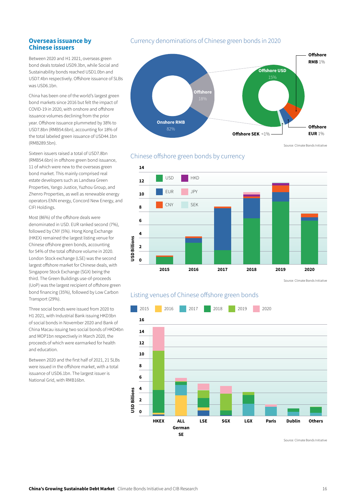#### Overseas issuance by Chinese issuers

Between 2020 and H1 2021, overseas green bond deals totaled USD9.3bn, while Social and Sustainability bonds reached USD1.0bn and USD7.4bn respectively. Offshore issuance of SLBs was USD6.1bn.

China has been one of the world's largest green bond markets since 2016 but felt the impact of COVID-19 in 2020, with onshore and offshore issuance volumes declining from the prior year. Offshore issuance plummeted by 38% to USD7.8bn (RMB54.6bn), accounting for 18% of the total labeled green issuance of USD44.1bn (RMB289.5bn).

Sixteen issuers raised a total of USD7.8bn (RMB54.6bn) in offshore green bond issuance, 11 of which were new to the overseas green bond market. This mainly comprised real estate developers such as Landsea Green Properties, Yango Justice, Yuzhou Group, and Zhenro Properties, as well as renewable energy operators ENN energy, Concord New Energy, and CIFI Holdings.

Most (86%) of the offshore deals were denominated in USD. EUR ranked second (7%), followed by CNY (5%). Hong Kong Exchange (HKEX) remained the largest listing venue for Chinese offshore green bonds, accounting for 54% of the total offshore volume in 2020. London Stock exchange (LSE) was the second largest offshore market for Chinese deals, with Singapore Stock Exchange (SGX) being the third. The Green Buildings use-of-proceeds (UoP) was the largest recipient of offshore green bond financing (35%), followed by Low Carbon Transport (29%).

Three social bonds were issued from 2020 to H1 2021, with Industrial Bank issuing HKD3bn of social bonds in November 2020 and Bank of China Macau issuing two social bonds of HKD4bn and MOP1bn respectively in March 2020, the proceeds of which were earmarked for health and education.

Between 2020 and the first half of 2021, 21 SLBs were issued in the offshore market, with a total issuance of USD6.1bn. The largest issuer is National Grid, with RMB16bn.

#### Currency denominations of Chinese green bonds in 2020



Source: Climate Bonds Initiative





Source: Climate Bonds Initiative

#### Listing venues of Chinese offshore green bonds

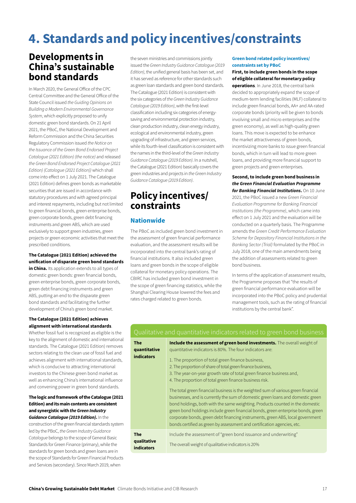# 4. Standards and policy incentives/constraints

# Developments in China's sustainable bond standards

In March 2020, the General Office of the CPC Central Committee and the General Office of the State Council issued *the Guiding Opinions on Building a Modern Environmental Governance System*, which explicitly proposed to unify domestic green bond standards. On 21 April 2021, the PBoC, the National Development and Reform Commission and the China Securities Regulatory Commission issued *the Notice on the Issuance of the Green Bond Endorsed Project Catalogue (2021 Edition) (the notice)* and released *the Green Bond Endorsed Project Catalogue (2021 Edition) (Catologue (2021 Edition))* which shall come into effect on 1 July 2021. The Catalogue (2021 Edition) defines green bonds as marketable securities that are issued in accordance with statutory procedures and with agreed principal and interest repayments, including but not limited to green financial bonds, green enterprise bonds, green corporate bonds, green debt financing instruments and green ABS, which are used exclusively to support green industries, green projects or green economic activities that meet the prescribed conditions.

#### The Catalogue (2021 Edition) achieved the unification of disparate green bond standards

in China. Its application extends to all types of domestic green bonds: green financial bonds, green enterprise bonds, green corporate bonds, green debt financing instruments and green ABS, putting an end to the disparate green bond standards and facilitating the further development of China's green bond market.

#### The Catalogue (2021 Edition) achieves alignment with international standards.

Whether fossil fuel is recognized as eligible is the key to the alignment of domestic and international standards. The Catalogue (2021 Edition) removes sectors relating to the clean use of fossil fuel and achieves alignment with international standards, which is conducive to attracting international investors to the Chinese green bond market as well as enhancing China's international influence and convening power in green bond standards.

#### The logic and framework of the Catalogue (2021 Edition) and its main contents are consistent and synergistic with *the Green Industry Guidance Catalogue (2019 Edition)*. In the

construction of the green financial standards system led by the PBoC, *the Green Industry Guidance Catalogue* belongs to the scope of General Basic Standards for Green Finance (primary), while the standards for green bonds and green loans are in the scope of Standards for Green Financial Products and Services (secondary). Since March 2019, when

the seven ministries and commissions jointly issued the *Green Industry Guidance Catalogue (2019 Edition)*, the unified general basis has been set, and it has served as reference for other standards such as green loan standards and green bond standards. The Catalogue (2021 Edition) is consistent with the six categories of *the Green Industry Guidance Catalogue (2019 Edition)*, with the first-level classification including six categories of energysaving and environmental protection industry, clean production industry, clean energy industry, ecological and environmental industry, green upgrading of infrastructure, and green services, while its fourth-level classification is consistent with the names in the third-level of the *Green Industry Guidance Catalogue (2019 Edition)*. In a nutshell, the Catalogue (2021 Edition) basically covers the green industries and projects in *the Green Industry Guidance Catalogue (2019 Edition)*.

# Policy incentives/ constraints

#### **Nationwide**

The PBoC as included green bond investment in the assessment of green financial performance evaluation, and the assessment results will be incorporated into the central bank's rating of financial institutions. It also included green loans and green bonds in the scope of eligible collateral for monetary policy operations. The CBIRC has included green bond investment in the scope of green financing statistics, while the Shanghai Clearing House lowered the fees and rates charged related to green bonds.

#### Green bond related policy incentives/ constraints set by PBoC

First, to include green bonds in the scope of eligible collateral for monetary policy operations. In June 2018, the central bank decided to appropriately expand the scope of medium-term lending facilities (MLF) collateral to include green financial bonds, AA+ and AA-rated corporate bonds (priority will be given to bonds involving small and micro enterprises and the green economy), as well as high-quality green loans. This move is expected to be enhance the market attractiveness of green bonds, incentivizing more banks to issue green financial bonds, which in turn will lead to more green loans, and providing more financial support to green projects and green enterprises.

#### Second, to include green bond business in *the Green Financial Evaluation Programme*

*for Banking Financial Institutions*. On 10 June 2021, the PBoC issued a new *Green Financial Evaluation Programme for Banking Financial Institutions (the Programme)*, which came into effect on 1 July 2021 and the evaluation will be conducted on a quarterly basis. The Programme amends the *Green Credit Performance Evaluation Scheme for Depository Financial Institutions in the Banking Sector (Trial)* formulated by the PBoC in July 2018, one of the main amendments being the addition of assessments related to green bond business.

In terms of the application of assessment results, the Programme proposes that "the results of green financial performance evaluation will be incorporated into the PBoC policy and prudential management tools, such as the rating of financial institutions by the central bank".

#### Qualitative and quantitative indicators related to green bond business

| <b>The</b><br>quantitative<br><b>indicators</b> | Include the assessment of green bond investments. The overall weight of<br>guantitative indicators is 80%. The four indicators are:<br>1. The proportion of total green finance business,<br>2. The proportion of share of total green finance business,<br>3. The year-on-year growth rate of total green finance business and,<br>4. The proportion of total green finance business risk.<br>The total green financial business is the weighted sum of various green financial<br>businesses, and is currently the sum of domestic green loans and domestic green<br>bond holdings, both with the same weighting. Products counted in the domestic<br>green bond holdings include green financial bonds, green enterprise bonds, green<br>corporate bonds, green debt financing instruments, green ABS, local government<br>bonds certified as green by assessment and certification agencies, etc. |
|-------------------------------------------------|-------------------------------------------------------------------------------------------------------------------------------------------------------------------------------------------------------------------------------------------------------------------------------------------------------------------------------------------------------------------------------------------------------------------------------------------------------------------------------------------------------------------------------------------------------------------------------------------------------------------------------------------------------------------------------------------------------------------------------------------------------------------------------------------------------------------------------------------------------------------------------------------------------|
| <b>The</b><br>qualitative<br><b>indicators</b>  | Include the assessment of "green bond issuance and underwriting"<br>The overall weight of qualitative indicators is 20%                                                                                                                                                                                                                                                                                                                                                                                                                                                                                                                                                                                                                                                                                                                                                                               |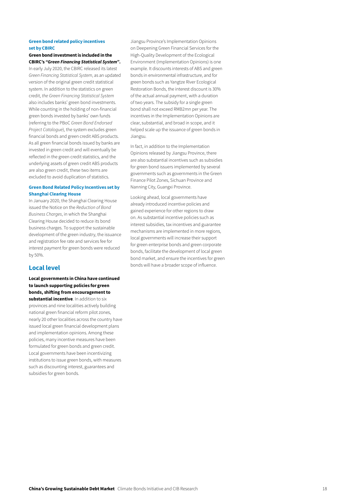#### Green bond related policy incentives set by CBIRC

#### Green bond investment is included in the CBIRC's *"Green Financing Statistical System"*.

In early July 2020, the CBIRC released its latest *Green Financing Statistical System*, as an updated version of the original green credit statistical system. In addition to the statistics on green credit, *the Green Financing Statistical System* also includes banks' green bond investments. While counting in the holding of non-financial green bonds invested by banks' own funds (referring to the PBoC *Green Bond Endorsed Project Catalogue*), the system excludes green financial bonds and green credit ABS products. As all green financial bonds issued by banks are invested in green credit and will eventually be reflected in the green credit statistics, and the underlying assets of green credit ABS products are also green credit, these two items are excluded to avoid duplication of statistics.

#### Green Bond Related Policy Incentives set by Shanghai Clearing House

In January 2020, the Shanghai Clearing House issued the Notice on the *Reduction of Bond Business Charges*, in which the Shanghai Clearing House decided to reduce its bond business charges. To support the sustainable development of the green industry, the issuance and registration fee rate and services fee for interest payment for green bonds were reduced by 50%.

#### Local level

Local governments in China have continued to launch supporting policies for green bonds, shifting from encouragement to substantial incentive. In addition to six provinces and nine localities actively building national green financial reform pilot zones, nearly 20 other localities across the country have issued local green financial development plans and implementation opinions. Among these policies, many incentive measures have been formulated for green bonds and green credit. Local governments have been incentivizing institutions to issue green bonds, with measures such as discounting interest, guarantees and subsidies for green bonds.

Jiangsu Province's Implementation Opinions on Deepening Green Financial Services for the High-Quality Development of the Ecological Environment (Implementation Opinions) is one example. It discounts interests of ABS and green bonds in environmental infrastructure, and for green bonds such as Yangtze River Ecological Restoration Bonds, the interest discount is 30% of the actual annual payment, with a duration of two years. The subsidy for a single green bond shall not exceed RMB2mn per year. The incentives in the Implementation Opinions are clear, substantial, and broad in scope, and it helped scale up the issuance of green bonds in Jiangsu.

In fact, in addition to the Implementation Opinions released by Jiangsu Province, there are also substantial incentives such as subsidies for green bond issuers implemented by several governments such as governments in the Green Finance Pilot Zones, Sichuan Province and Nanning City, Guangxi Province.

Looking ahead, local governments have already introduced incentive policies and gained experience for other regions to draw on. As substantial incentive policies such as interest subsidies, tax incentives and guarantee mechanisms are implemented in more regions, local governments will increase their support for green enterprise bonds and green corporate bonds, facilitate the development of local green bond market, and ensure the incentives for green bonds will have a broader scope of influence.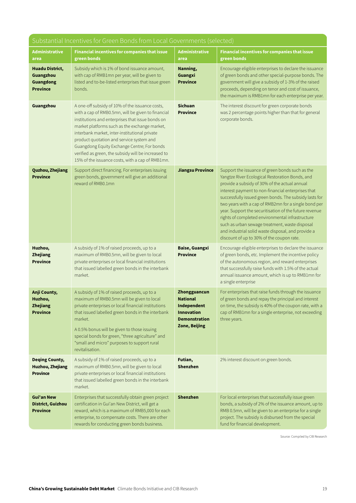| Substantial Incentives for Green Bonds from Local Governments (selected)   |                                                                                                                                                                                                                                                                                                                                                                                                                                                                   |                                                                                                                     |                                                                                                                                                                                                                                                                                                                                                                                                                                                                                                                                                                                                |
|----------------------------------------------------------------------------|-------------------------------------------------------------------------------------------------------------------------------------------------------------------------------------------------------------------------------------------------------------------------------------------------------------------------------------------------------------------------------------------------------------------------------------------------------------------|---------------------------------------------------------------------------------------------------------------------|------------------------------------------------------------------------------------------------------------------------------------------------------------------------------------------------------------------------------------------------------------------------------------------------------------------------------------------------------------------------------------------------------------------------------------------------------------------------------------------------------------------------------------------------------------------------------------------------|
| Administrative<br>area                                                     | <b>Financial incentives for companies that issue</b><br>green bonds                                                                                                                                                                                                                                                                                                                                                                                               | <b>Administrative</b><br>area                                                                                       | <b>Financial incentives for companies that issue</b><br>green bonds                                                                                                                                                                                                                                                                                                                                                                                                                                                                                                                            |
| <b>Huadu District,</b><br>Guangzhou<br><b>Guangdong</b><br><b>Province</b> | Subsidy which is 1% of bond issuance amount,<br>with cap of RMB1mn per year, will be given to<br>listed and to-be-listed enterprises that issue green<br>bonds.                                                                                                                                                                                                                                                                                                   | Nanning,<br>Guangxi<br><b>Province</b>                                                                              | Encourage eligible enterprises to declare the issuance<br>of green bonds and other special-purpose bonds. The<br>government will give a subsidy of 1-3% of the raised<br>proceeds, depending on tenor and cost of issuance,<br>the maximum is RMB1mn for each enterprise per year.                                                                                                                                                                                                                                                                                                             |
| Guangzhou                                                                  | A one-off subsidy of 10% of the issuance costs,<br>with a cap of RMB0.5mn, will be given to financial<br>institutions and enterprises that issue bonds on<br>market platforms such as the exchange market,<br>interbank market, inter-institutional private<br>product quotation and service system and<br>Guangdong Equity Exchange Centre; For bonds<br>verified as green, the subsidy will be increased to<br>15% of the issuance costs, with a cap of RMB1mn. | <b>Sichuan</b><br><b>Province</b>                                                                                   | The interest discount for green corporate bonds<br>was 2 percentage points higher than that for general<br>corporate bonds.                                                                                                                                                                                                                                                                                                                                                                                                                                                                    |
| <b>Quzhou, Zhejiang</b><br><b>Province</b>                                 | Support direct financing. For enterprises issuing<br>green bonds, government will give an additional<br>reward of RMB0.1mn                                                                                                                                                                                                                                                                                                                                        | <b>Jiangsu Province</b>                                                                                             | Support the issuance of green bonds such as the<br>Yangtze River Ecological Restoration Bonds, and<br>provide a subsidy of 30% of the actual annual<br>interest payment to non-financial enterprises that<br>successfully issued green bonds. The subsidy lasts for<br>two years with a cap of RMB2mn for a single bond per<br>year. Support the securitisation of the future revenue<br>rights of completed environmental infrastructure<br>such as urban sewage treatment, waste disposal<br>and industrial solid waste disposal, and provide a<br>discount of up to 30% of the coupon rate. |
| Huzhou,<br><b>Zhejiang</b><br><b>Province</b>                              | A subsidy of 1% of raised proceeds, up to a<br>maximum of RMB0.5mn, will be given to local<br>private enterprises or local financial institutions<br>that issued labelled green bonds in the interbank<br>market.                                                                                                                                                                                                                                                 | <b>Baise, Guangxi</b><br><b>Province</b>                                                                            | Encourage eligible enterprises to declare the issuance<br>of green bonds, etc. Implement the incentive policy<br>of the autonomous region, and reward enterprises<br>that successfully raise funds with 1.5% of the actual<br>annual issuance amount, which is up to RMB1mn for<br>a single enterprise                                                                                                                                                                                                                                                                                         |
| Anji County,<br>Huzhou,<br>Zhejiang<br><b>Province</b>                     | A subsidy of 1% of raised proceeds, up to a<br>maximum of RMB0.5mn will be given to local<br>private enterprises or local financial institutions<br>that issued labelled green bonds in the interbank<br>market.<br>A 0.5% bonus will be given to those issuing<br>special bonds for green, "three agriculture" and<br>"small and micro" purposes to support rural<br>revitalisation.                                                                             | Zhongguancun<br><b>National</b><br>Independent<br><b>Innovation</b><br><b>Demonstration</b><br><b>Zone, Beijing</b> | For enterprises that raise funds through the issuance<br>of green bonds and repay the principal and interest<br>on time, the subsidy is 40% of the coupon rate, with a<br>cap of RMB1mn for a single enterprise, not exceeding<br>three years.                                                                                                                                                                                                                                                                                                                                                 |
| <b>Deqing County,</b><br><b>Huzhou, Zhejiang</b><br><b>Province</b>        | A subsidy of 1% of raised proceeds, up to a<br>maximum of RMB0.5mn, will be given to local<br>private enterprises or local financial institutions<br>that issued labelled green bonds in the interbank<br>market.                                                                                                                                                                                                                                                 | Futian,<br>Shenzhen                                                                                                 | 2% interest discount on green bonds.                                                                                                                                                                                                                                                                                                                                                                                                                                                                                                                                                           |
| <b>Gui'an New</b><br>District, Guizhou<br><b>Province</b>                  | Enterprises that successfully obtain green project<br>certification in Gui'an New District, will get a<br>reward, which is a maximum of RMB5,000 for each<br>enterprise, to compensate costs. There are other<br>rewards for conducting green bonds business.                                                                                                                                                                                                     | <b>Shenzhen</b>                                                                                                     | For local enterprises that successfully issue green<br>bonds, a subsidy of 2% of the issuance amount, up to<br>RMB 0.5mn, will be given to an enterprise for a single<br>project. The subsidy is disbursed from the special<br>fund for financial development.                                                                                                                                                                                                                                                                                                                                 |

Source: Compiled by CIB Research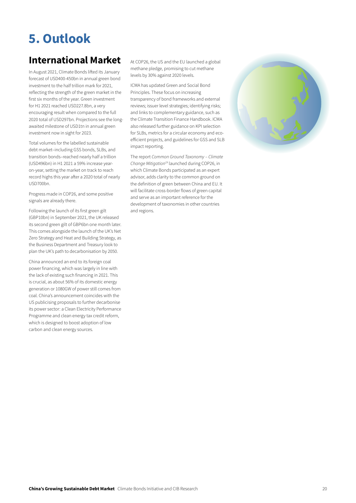# 5. Outlook

# International Market

In August 2021, Climate Bonds lifted its [January](https://www.climatebonds.net/2021/01/record-2695bn-green-issuance-2020-late-surge-sees-pandemic-year-pip-2019-total-3bn)  [forecast](https://www.climatebonds.net/2021/01/record-2695bn-green-issuance-2020-late-surge-sees-pandemic-year-pip-2019-total-3bn) of USD400-450bn in annual green bond investment to the half trillion mark for 2021, reflecting the strength of the green market in the first six months of the year. Green investment for H1 2021 reached USD227.8bn, a very encouraging result when compared to the full 2020 total of USD297bn. Projections see the longawaited milestone of USD1tn in annual green investment now in sight for 2023.

Total volumes for the labelled sustainable debt market–including GSS bonds, SLBs, and transition bonds–reached nearly half a trillion (USD496bn) in H1 2021 a 59% increase yearon-year, setting the market on track to reach record highs this year after a 2020 total of nearly USD700bn.

Progress made in COP26, and some positive signals are already there.

Following the launch of its first green gilt (GBP10bn) in September 2021, the UK released its [second green gilt](https://www.gov.uk/government/news/second-uk-green-gilt-raises-further-6-billion-for-green-projects) of GBP6bn one month later. This comes alongside the launch of the UK's Net Zero Strategy and Heat and Building Strategy, as the Business Department and Treasury look to plan the UK's path to decarbonisation by 2050.

China announced an end to its foreign coal power financing, which was largely in line with the lack of existing such financing in 2021. This is crucial, as about 56% of its domestic energy generation or 1080GW of power still comes from coal. China's announcement coincides with the US publicising proposals to further decarbonise its power sector: a Clean Electricity Performance Programme and clean energy tax credit reform, which is designed to boost adoption of low carbon and clean energy sources.

At COP26, the US and the EU launched a global methane pledge, promising to cut methane levels by 30% against 2020 levels.

ICMA has updated Green and Social Bond Principles. These focus on increasing transparency of bond frameworks and external reviews; issuer level strategies; identifying risks; and links to complementary guidance, such as the Climate Transition Finance Handbook. ICMA also released further guidance on KPI selection for SLBs, metrics for a circular economy and ecoefficient projects, and guidelines for GSS and SLB impact reporting.

The report *Common Ground Taxonomy – Climate Change Mitigation19* launched during COP26, in which Climate Bonds participated as an expert advisor, adds clarity to the common ground on the definition of green between China and EU. It will facilitate cross-border flows of green capital and serve as an important reference for the development of taxonomies in other countries and regions.

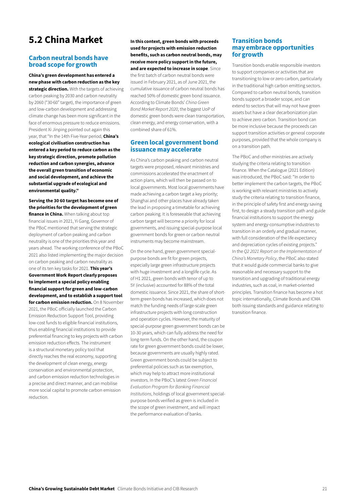# 5.2 China Market

#### Carbon neutral bonds have broad scope for growth

China's green development has entered a new phase with carbon reduction as the key strategic direction. With the targets of achieving carbon peaking by 2030 and carbon neutrality by 2060 ("30·60" target), the importance of green and low-carbon development and addressing climate change has been more significant in the face of enormous pressure to reduce emissions. President Xi Jinping pointed out again this year, that "In the 14th Five-Year period, China's ecological civilisation construction has entered a key period to reduce carbon as the key strategic direction, promote pollution reduction and carbon synergies, advance the overall green transition of economic and social development, and achieve the substantial upgrade of ecological and environmental quality."

Serving the 30·60 target has become one of the priorities for the development of green finance in China. When talking about top financial issues in 2021, Yi Gang, Governor of the PBoC mentioned that serving the strategic deployment of carbon peaking and carbon neutrality is one of the priorities this year and years ahead. The working conference of the PBoC 2021 also listed implementing the major decision on carbon peaking and carbon neutrality as one of its ten key tasks for 2021. This year's Government Work Report clearly proposes to implement a special policy enabling financial support for green and low-carbon development, and to establish a support tool for carbon emission reduction. On 8 November 2021, the PBoC officially launched the Carbon Emission Reduction Support Tool, providing low-cost funds to eligible financial institutions, thus enabling financial institutions to provide preferential financing to key projects with carbon emission reduction effects. The instrument is a structural monetary policy tool that directly reaches the real economy, supporting the development of clean energy, energy conservation and environmental protection, and carbon emission reduction technologies in a precise and direct manner, and can mobilise more social capital to promote carbon emission reduction.

In this context, green bonds with proceeds used for projects with emission reduction benefits, such as carbon neutral bonds, may receive more policy support in the future, and are expected to increase in scope. Since the first batch of carbon neutral bonds were issued in February 2021, as of June 2021, the cumulative issuance of carbon neutral bonds has reached 50% of domestic green bond issuance. According to Climate Bonds' *China Green Bond Market Report 2020*, the biggest UoP of domestic green bonds were clean transportation, clean energy, and energy conservation, with a combined share of 61%.

#### Green local government bond issuance may accelerate

As China's carbon peaking and carbon neutral targets were proposed, relevant ministries and commissions accelerated the enactment of action plans, which will then be passed on to local governments. Most local governments have made achieving a carbon target a key priority; Shanghai and other places have already taken the lead in proposing a timetable for achieving carbon peaking. It is foreseeable that achieving carbon target will become a priority for local governments, and issuing special-purpose local government bonds for green or carbon neutral instruments may become mainstream.

On the one hand, green government specialpurpose bonds are fit for green projects, especially large green infrastructure projects with huge investment and a longlife cycle. As of H1 2021, green bonds with tenor of up to 5Y (inclusive) accounted for 88% of the total domestic issuance. Since 2021, the share of shortterm green bonds has increased, which does not match the funding needs of large-scale green infrastructure projects with long construction and operation cycles. However, the maturity of special-purpose green government bonds can be 10-30 years, which can fully address the need for long-term funds. On the other hand, the coupon rate for green government bonds could be lower, because governments are usually highly rated. Green government bonds could be subject to preferential policies such as tax exemption, which may help to attract more institutional investors. In the PBoC's latest *Green Financial Evaluation Program for Banking Financial Institutions*, holdings of local government specialpurpose bonds verified as green is included in the scope of green investment, and will impact the performance evaluation of banks.

#### Transition bonds may embrace opportunities for growth

Transition bonds enable responsible investors to support companies or activities that are transitioning to low or zero carbon, particularly in the traditional high carbon emitting sectors. Compared to carbon neutral bonds, transition bonds support a broader scope, and can extend to sectors that will may not have green assets but have a clear decarbonization plan to achieve zero carbon. Transition bond can be more inclusive because the proceeds can support transition activities or general corporate purposes, provided that the whole company is on a transition path.

The PBoC and other ministries are actively studying the criteria relating to transition finance. When the Catalogue (2021 Edition) was introduced, the PBoC said: "In order to better implement the carbon targets, the PBoC is working with relevant ministries to actively study the criteria relating to transition finance, in the principle of safety first and energy saving first, to design a steady transition path and guide financial institutions to support the energy system and energy-consumptive industries to transition in an orderly and gradual manner, with full consideration of the life expectancy and depreciation cycles of existing projects." In the *Q2 2021 Report on the Implementation of China's Monetary Policy*, the PBoC also stated that it would guide commercial banks to give reasonable and necessary support to the transition and upgrading of traditional energy industries, such as coal, in market-oriented principles. Transition finance has become a hot topic internationally, Climate Bonds and ICMA both issuing standards and guidance relating to transition finance.